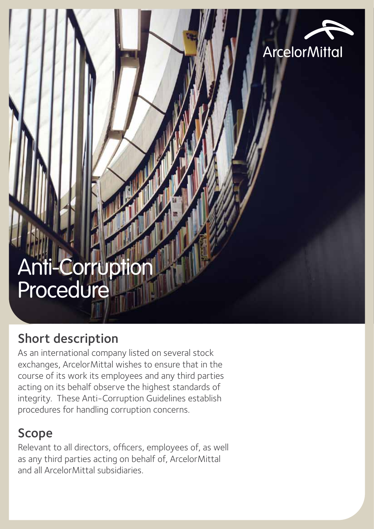

# Anti-Corruption Procedure

# Short description

As an international company listed on several stock exchanges, ArcelorMittal wishes to ensure that in the course of its work its employees and any third parties acting on its behalf observe the highest standards of integrity. These Anti-Corruption Guidelines establish procedures for handling corruption concerns.

# Scope

Relevant to all directors, officers, employees of, as well as any third parties acting on behalf of, ArcelorMittal and all ArcelorMittal subsidiaries.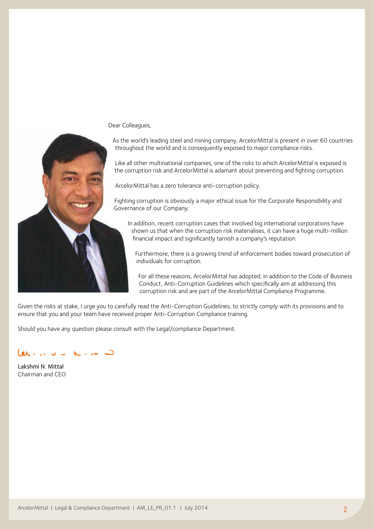Dear Colleagues,



As the world's leading steel and mining company, ArcelorMittal is present in over 60 countries throughout the world and is consequently exposed to major compliance risks.

Like all other multinational companies, one of the risks to which ArcelorMittal is exposed is the corruption risk and ArcelorMittal is adamant about preventing and fighting corruption.

ArcelorMittal has a zero tolerance anti-corruption policy.

Fighting corruption is obviously a major ethical issue for the Corporate Responsibility and Governance of our Company.

In addition, recent corruption cases that involved big international corporations have shown us that when the corruption risk materialises, it can have a huge multi-million financial impact and significantly tarnish a company's reputation.

Furthermore, there is a growing trend of enforcement bodies toward prosecution of individuals for corruption.

For all these reasons, ArcelorMittal has adopted, in addition to the Code of Business Conduct, Anti-Corruption Guidelines which specifically aim at addressing this corruption risk and are part of the ArcelorMittal Compliance Programme.

Given the risks at stake, I urge you to carefully read the Anti-Corruption Guidelines, to strictly comply with its provisions and to ensure that you and your team have received proper Anti-Corruption Compliance training.

Should you have any question please consult with the Legal/compliance Department.

Lakshmi N. Mittal Chairman and CEO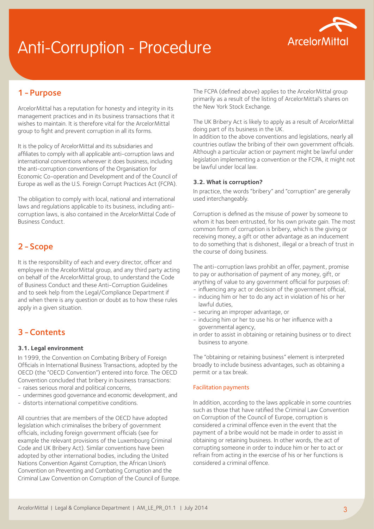# Anti-Corruption - Procedure



# 1-Purpose

ArcelorMittal has a reputation for honesty and integrity in its management practices and in its business transactions that it wishes to maintain. It is therefore vital for the ArcelorMittal group to fight and prevent corruption in all its forms.

It is the policy of ArcelorMittal and its subsidiaries and affiliates to comply with all applicable anti-corruption laws and international conventions wherever it does business, including the anti-corruption conventions of the Organisation for Economic Co-operation and Development and of the Council of Europe as well as the U.S. Foreign Corrupt Practices Act (FCPA).

The obligation to comply with local, national and international laws and regulations applicable to its business, including anticorruption laws, is also contained in the ArcelorMittal Code of Business Conduct.

## 2-Scope

It is the responsibility of each and every director, officer and employee in the ArcelorMittal group, and any third party acting on behalf of the ArcelorMittal group, to understand the Code of Business Conduct and these Anti-Corruption Guidelines and to seek help from the Legal/Compliance Department if and when there is any question or doubt as to how these rules apply in a given situation.

### 3-Contents

#### **3.1. Legal environment**

In 1999, the Convention on Combating Bribery of Foreign Officials in International Business Transactions, adopted by the OECD (the "OECD Convention") entered into force. The OECD Convention concluded that bribery in business transactions:

- raises serious moral and political concerns,
- undermines good governance and economic development, and
- distorts international competitive conditions.

All countries that are members of the OECD have adopted legislation which criminalises the bribery of government officials, including foreign government officials (see for example the relevant provisions of the Luxembourg Criminal Code and UK Bribery Act). Similar conventions have been adopted by other international bodies, including the United Nations Convention Against Corruption, the African Union's Convention on Preventing and Combating Corruption and the Criminal Law Convention on Corruption of the Council of Europe. The FCPA (defined above) applies to the ArcelorMittal group primarily as a result of the listing of ArcelorMittal's shares on the New York Stock Exchange.

The UK Bribery Act is likely to apply as a result of ArcelorMittal doing part of its business in the UK.

In addition to the above conventions and legislations, nearly all countries outlaw the bribing of their own government officials. Although a particular action or payment might be lawful under legislation implementing a convention or the FCPA, it might not be lawful under local law.

#### **3.2. What is corruption?**

In practice, the words "bribery" and "corruption" are generally used interchangeably.

Corruption is defined as the misuse of power by someone to whom it has been entrusted, for his own private gain. The most common form of corruption is bribery, which is the giving or receiving money, a gift or other advantage as an inducement to do something that is dishonest, illegal or a breach of trust in the course of doing business.

The anti-corruption laws prohibit an offer, payment, promise to pay or authorisation of payment of any money, gift, or anything of value to any government official for purposes of:

- influencing any act or decision of the government official,
- inducing him or her to do any act in violation of his or her lawful duties,
- securing an improper advantage, or
- inducing him or her to use his or her influence with a governmental agency,
- in order to assist in obtaining or retaining business or to direct business to anyone.

The "obtaining or retaining business" element is interpreted broadly to include business advantages, such as obtaining a permit or a tax break.

#### Facilitation payments

In addition, according to the laws applicable in some countries such as those that have ratified the Criminal Law Convention on Corruption of the Council of Europe, corruption is considered a criminal offence even in the event that the payment of a bribe would not be made in order to assist in obtaining or retaining business. In other words, the act of corrupting someone in order to induce him or her to act or refrain from acting in the exercise of his or her functions is considered a criminal offence.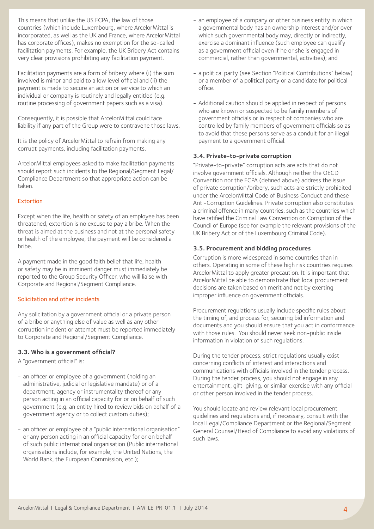This means that unlike the US FCPA, the law of those countries (which include Luxembourg, where ArcelorMittal is incorporated, as well as the UK and France, where ArcelorMittal has corporate offices), makes no exemption for the so-called facilitation payments. For example, the UK Bribery Act contains very clear provisions prohibiting any facilitation payment.

Facilitation payments are a form of bribery where (i) the sum involved is minor and paid to a low level official and (ii) the payment is made to secure an action or service to which an individual or company is routinely and legally entitled (e.g. routine processing of government papers such as a visa).

Consequently, it is possible that ArcelorMittal could face liability if any part of the Group were to contravene those laws.

It is the policy of ArcelorMittal to refrain from making any corrupt payments, including facilitation payments.

ArcelorMittal employees asked to make facilitation payments should report such incidents to the Regional/Segment Legal/ Compliance Department so that appropriate action can be taken.

#### Extortion

Except when the life, health or safety of an employee has been threatened, extortion is no excuse to pay a bribe. When the threat is aimed at the business and not at the personal safety or health of the employee, the payment will be considered a bribe.

A payment made in the good faith belief that life, health or safety may be in imminent danger must immediately be reported to the Group Security Officer, who will liaise with Corporate and Regional/Segment Compliance.

#### Solicitation and other incidents

Any solicitation by a government official or a private person of a bribe or anything else of value as well as any other corruption incident or attempt must be reported immediately to Corporate and Regional/Segment Compliance.

#### **3.3. Who is a government official?**

A "government official" is:

- an officer or employee of a government (holding an administrative, judicial or legislative mandate) or of a department, agency or instrumentality thereof or any person acting in an official capacity for or on behalf of such government (e.g. an entity hired to review bids on behalf of a government agency or to collect custom duties);
- an officer or employee of a "public international organisation" or any person acting in an official capacity for or on behalf of such public international organisation (Public international organisations include, for example, the United Nations, the World Bank, the European Commission, etc.);
- an employee of a company or other business entity in which a governmental body has an ownership interest and/or over which such governmental body may, directly or indirectly, exercise a dominant influence (such employee can qualify as a government official even if he or she is engaged in commercial, rather than governmental, activities); and
- a political party (see Section "Political Contributions" below) or a member of a political party or a candidate for political office.
- Additional caution should be applied in respect of persons who are known or suspected to be family members of government officials or in respect of companies who are controlled by family members of government officials so as to avoid that these persons serve as a conduit for an illegal payment to a government official.

#### **3.4. Private-to-private corruption**

"Private-to-private" corruption acts are acts that do not involve government officials. Although neither the OECD Convention nor the FCPA (defined above) address the issue of private corruption/bribery, such acts are strictly prohibited under the ArcelorMittal Code of Business Conduct and these Anti-Corruption Guidelines. Private corruption also constitutes a criminal offence in many countries, such as the countries which have ratified the Criminal Law Convention on Corruption of the Council of Europe (see for example the relevant provisions of the UK Bribery Act or of the Luxembourg Criminal Code).

#### **3.5. Procurement and bidding procedures**

Corruption is more widespread in some countries than in others. Operating in some of these high risk countries requires ArcelorMittal to apply greater precaution. It is important that ArcelorMittal be able to demonstrate that local procurement decisions are taken based on merit and not by exerting improper influence on government officials.

Procurement regulations usually include specific rules about the timing of, and process for, securing bid information and documents and you should ensure that you act in conformance with those rules. You should never seek non-public inside information in violation of such regulations.

During the tender process, strict regulations usually exist concerning conflicts of interest and interactions and communications with officials involved in the tender process. During the tender process, you should not engage in any entertainment, gift-giving, or similar exercise with any official or other person involved in the tender process.

You should locate and review relevant local procurement guidelines and regulations and, if necessary, consult with the local Legal/Compliance Department or the Regional/Segment General Counsel/Head of Compliance to avoid any violations of such laws.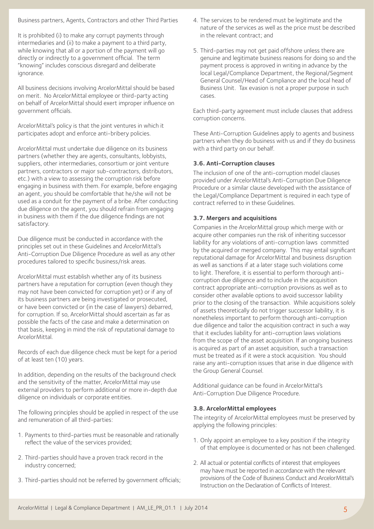Business partners, Agents, Contractors and other Third Parties

It is prohibited (i) to make any corrupt payments through intermediaries and (ii) to make a payment to a third party, while knowing that all or a portion of the payment will go directly or indirectly to a government official. The term "knowing" includes conscious disregard and deliberate ignorance.

All business decisions involving ArcelorMittal should be based on merit. No ArcelorMittal employee or third-party acting on behalf of ArcelorMittal should exert improper influence on government officials.

ArcelorMittal's policy is that the joint ventures in which it participates adopt and enforce anti-bribery policies.

ArcelorMittal must undertake due diligence on its business partners (whether they are agents, consultants, lobbyists, suppliers, other intermediaries, consortium or joint venture partners, contractors or major sub-contractors, distributors, etc.) with a view to assessing the corruption risk before engaging in business with them. For example, before engaging an agent, you should be comfortable that he/she will not be used as a conduit for the payment of a bribe. After conducting due diligence on the agent, you should refrain from engaging in business with them if the due diligence findings are not satisfactory.

Due diligence must be conducted in accordance with the principles set out in these Guidelines and ArcelorMittal's Anti-Corruption Due Diligence Procedure as well as any other procedures tailored to specific business/risk areas.

ArcelorMittal must establish whether any of its business partners have a reputation for corruption (even though they may not have been convicted for corruption yet) or if any of its business partners are being investigated or prosecuted, or have been convicted or (in the case of lawyers) debarred, for corruption. If so, ArcelorMittal should ascertain as far as possible the facts of the case and make a determination on that basis, keeping in mind the risk of reputational damage to ArcelorMittal.

Records of each due diligence check must be kept for a period of at least ten (10) years.

In addition, depending on the results of the background check and the sensitivity of the matter, ArcelorMittal may use external providers to perform additional or more in-depth due diligence on individuals or corporate entities.

The following principles should be applied in respect of the use and remuneration of all third-parties:

- 1. Payments to third-parties must be reasonable and rationally reflect the value of the services provided;
- 2. Third-parties should have a proven track record in the industry concerned;
- 3. Third-parties should not be referred by government officials;
- 4. The services to be rendered must be legitimate and the nature of the services as well as the price must be described in the relevant contract; and
- 5. Third-parties may not get paid offshore unless there are genuine and legitimate business reasons for doing so and the payment process is approved in writing in advance by the local Legal/Compliance Department, the Regional/Segment General Counsel/Head of Compliance and the local head of Business Unit. Tax evasion is not a proper purpose in such cases.

Each third-party agreement must include clauses that address corruption concerns.

These Anti-Corruption Guidelines apply to agents and business partners when they do business with us and if they do business with a third party on our behalf.

### **3.6. Anti-Corruption clauses**

The inclusion of one of the anti-corruption model clauses provided under ArcelorMittal's Anti-Corruption Due Diligence Procedure or a similar clause developed with the assistance of the Legal/Compliance Department is required in each type of contract referred to in these Guidelines.

#### **3.7. Mergers and acquisitions**

Companies in the ArcelorMittal group which merge with or acquire other companies run the risk of inheriting successor liability for any violations of anti-corruption laws committed by the acquired or merged company. This may entail significant reputational damage for ArcelorMittal and business disruption as well as sanctions if at a later stage such violations come to light. Therefore, it is essential to perform thorough anticorruption due diligence and to include in the acquisition contract appropriate anti-corruption provisions as well as to consider other available options to avoid successor liability prior to the closing of the transaction. While acquisitions solely of assets theoretically do not trigger successor liability, it is nonetheless important to perform thorough anti-corruption due diligence and tailor the acquisition contract in such a way that it excludes liability for anti-corruption laws violations from the scope of the asset acquisition. If an ongoing business is acquired as part of an asset acquisition, such a transaction must be treated as if it were a stock acquisition. You should raise any anti-corruption issues that arise in due diligence with the Group General Counsel.

Additional guidance can be found in ArcelorMittal's Anti-Corruption Due Diligence Procedure.

#### **3.8. ArcelorMittal employees**

The integrity of ArcelorMittal employees must be preserved by applying the following principles:

- 1. Only appoint an employee to a key position if the integrity of that employee is documented or has not been challenged.
- 2. All actual or potential conflicts of interest that employees may have must be reported in accordance with the relevant provisions of the Code of Business Conduct and ArcelorMittal's Instruction on the Declaration of Conflicts of Interest.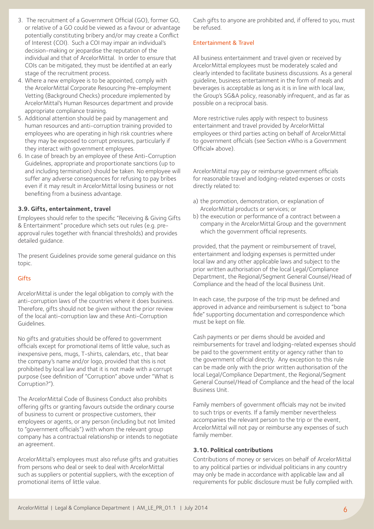- 3. The recruitment of a Government Official (GO), former GO, or relative of a GO could be viewed as a favour or advantage potentially constituting bribery and/or may create a Conflict of Interest (COI). Such a COI may impair an individual's decision-making or jeopardise the reputation of the individual and that of ArcelorMittal. In order to ensure that COIs can be mitigated, they must be identified at an early stage of the recruitment process.
- 4. Where a new employee is to be appointed, comply with the ArcelorMittal Corporate Resourcing Pre-employment Vetting (Background Checks) procedure implemented by ArcelorMittal's Human Resources department and provide appropriate compliance training.
- 5. Additional attention should be paid by management and human resources and anti-corruption training provided to employees who are operating in high risk countries where they may be exposed to corrupt pressures, particularly if they interact with government employees.
- 6. In case of breach by an employee of these Anti-Corruption Guidelines, appropriate and proportionate sanctions (up to and including termination) should be taken. No employee will suffer any adverse consequences for refusing to pay bribes even if it may result in ArcelorMittal losing business or not benefiting from a business advantage.

#### **3.9. Gifts, entertainment, travel**

Employees should refer to the specific "Receiving & Giving Gifts & Entertainment" procedure which sets out rules (e.g. preapproval rules together with financial thresholds) and provides detailed guidance.

The present Guidelines provide some general guidance on this topic.

#### Gifts

ArcelorMittal is under the legal obligation to comply with the anti-corruption laws of the countries where it does business. Therefore, gifts should not be given without the prior review of the local anti-corruption law and these Anti-Corruption Guidelines.

No gifts and gratuities should be offered to government officials except for promotional items of little value, such as inexpensive pens, mugs, T-shirts, calendars, etc., that bear the company's name and/or logo, provided that this is not prohibited by local law and that it is not made with a corrupt purpose (see definition of "Corruption" above under "What is Corruption?").

The ArcelorMittal Code of Business Conduct also prohibits offering gifts or granting favours outside the ordinary course of business to current or prospective customers, their employees or agents, or any person (including but not limited to "government officials") with whom the relevant group company has a contractual relationship or intends to negotiate an agreement.

ArcelorMittal's employees must also refuse gifts and gratuities from persons who deal or seek to deal with ArcelorMittal such as suppliers or potential suppliers, with the exception of promotional items of little value.

Cash gifts to anyone are prohibited and, if offered to you, must be refused.

#### Entertainment & Travel

All business entertainment and travel given or received by ArcelorMittal employees must be moderately scaled and clearly intended to facilitate business discussions. As a general guideline, business entertainment in the form of meals and beverages is acceptable as long as it is in line with local law, the Group's SG&A policy, reasonably infrequent, and as far as possible on a reciprocal basis.

More restrictive rules apply with respect to business entertainment and travel provided by ArcelorMittal employees or third parties acting on behalf of ArcelorMittal to government officials (see Section «Who is a Government Official» above).

ArcelorMittal may pay or reimburse government officials for reasonable travel and lodging-related expenses or costs directly related to:

- a) the promotion, demonstration, or explanation of ArcelorMittal products or services; or
- b) the execution or performance of a contract between a company in the ArcelorMittal Group and the government which the government official represents.

provided, that the payment or reimbursement of travel, entertainment and lodging expenses is permitted under local law and any other applicable laws and subject to the prior written authorisation of the local Legal/Compliance Department, the Regional/Segment General Counsel/Head of Compliance and the head of the local Business Unit.

In each case, the purpose of the trip must be defined and approved in advance and reimbursement is subject to "bona fide" supporting documentation and correspondence which must be kept on file.

Cash payments or per diems should be avoided and reimbursements for travel and lodging-related expenses should be paid to the government entity or agency rather than to the government official directly. Any exception to this rule can be made only with the prior written authorisation of the local Legal/Compliance Department, the Regional/Segment General Counsel/Head of Compliance and the head of the local Business Unit.

Family members of government officials may not be invited to such trips or events. If a family member nevertheless accompanies the relevant person to the trip or the event, ArcelorMittal will not pay or reimburse any expenses of such family member.

#### **3.10. Political contributions**

Contributions of money or services on behalf of ArcelorMittal to any political parties or individual politicians in any country may only be made in accordance with applicable law and all requirements for public disclosure must be fully complied with.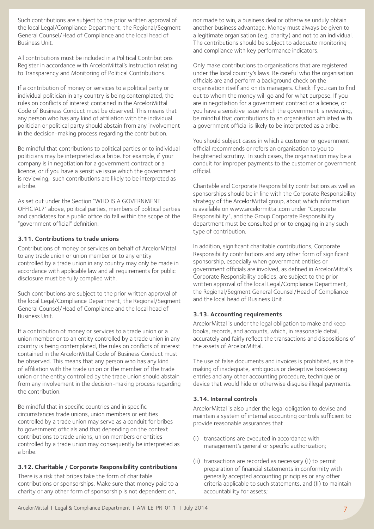Such contributions are subject to the prior written approval of the local Legal/Compliance Department, the Regional/Segment General Counsel/Head of Compliance and the local head of Business Unit.

All contributions must be included in a Political Contributions Register in accordance with ArcelorMittal's Instruction relating to Transparency and Monitoring of Political Contributions.

If a contribution of money or services to a political party or individual politician in any country is being contemplated, the rules on conflicts of interest contained in the ArcelorMittal Code of Business Conduct must be observed. This means that any person who has any kind of affiliation with the individual politician or political party should abstain from any involvement in the decision-making process regarding the contribution.

Be mindful that contributions to political parties or to individual politicians may be interpreted as a bribe. For example, if your company is in negotiation for a government contract or a licence, or if you have a sensitive issue which the government is reviewing, such contributions are likely to be interpreted as a bribe.

As set out under the Section "WHO IS A GOVERNMENT OFFICIAL?" above, political parties, members of political parties and candidates for a public office do fall within the scope of the "government official" definition.

#### **3.11. Contributions to trade unions**

Contributions of money or services on behalf of ArcelorMittal to any trade union or union member or to any entity controlled by a trade union in any country may only be made in accordance with applicable law and all requirements for public disclosure must be fully complied with.

Such contributions are subject to the prior written approval of the local Legal/Compliance Department, the Regional/Segment General Counsel/Head of Compliance and the local head of Business Unit.

If a contribution of money or services to a trade union or a union member or to an entity controlled by a trade union in any country is being contemplated, the rules on conflicts of interest contained in the ArcelorMittal Code of Business Conduct must be observed. This means that any person who has any kind of affiliation with the trade union or the member of the trade union or the entity controlled by the trade union should abstain from any involvement in the decision-making process regarding the contribution.

Be mindful that in specific countries and in specific circumstances trade unions, union members or entities controlled by a trade union may serve as a conduit for bribes to government officials and that depending on the context contributions to trade unions, union members or entities controlled by a trade union may consequently be interpreted as a bribe.

#### **3.12. Charitable / Corporate Responsibility contributions**

There is a risk that bribes take the form of charitable contributions or sponsorships. Make sure that money paid to a charity or any other form of sponsorship is not dependent on,

nor made to win, a business deal or otherwise unduly obtain another business advantage. Money must always be given to a legitimate organisation (e.g. charity) and not to an individual. The contributions should be subject to adequate monitoring and compliance with key performance indicators.

Only make contributions to organisations that are registered under the local country's laws. Be careful who the organisation officials are and perform a background check on the organisation itself and on its managers. Check if you can to find out to whom the money will go and for what purpose. If you are in negotiation for a government contract or a licence, or you have a sensitive issue which the government is reviewing, be mindful that contributions to an organisation affiliated with a government official is likely to be interpreted as a bribe.

You should subject cases in which a customer or government official recommends or refers an organisation to you to heightened scrutiny. In such cases, the organisation may be a conduit for improper payments to the customer or government official.

Charitable and Corporate Responsibility contributions as well as sponsorships should be in line with the Corporate Responsibility strategy of the ArcelorMittal group, about which information is available on www.arcelormittal.com under "Corporate Responsibility", and the Group Corporate Responsibility department must be consulted prior to engaging in any such type of contribution.

In addition, significant charitable contributions, Corporate Responsibility contributions and any other form of significant sponsorship, especially when government entities or government officials are involved, as defined in ArcelorMittal's Corporate Responsibility policies, are subject to the prior written approval of the local Legal/Compliance Department, the Regional/Segment General Counsel/Head of Compliance and the local head of Business Unit.

#### **3.13. Accounting requirements**

ArcelorMittal is under the legal obligation to make and keep books, records, and accounts, which, in reasonable detail, accurately and fairly reflect the transactions and dispositions of the assets of ArcelorMittal.

The use of false documents and invoices is prohibited, as is the making of inadequate, ambiguous or deceptive bookkeeping entries and any other accounting procedure, technique or device that would hide or otherwise disguise illegal payments.

#### **3.14. Internal controls**

ArcelorMittal is also under the legal obligation to devise and maintain a system of internal accounting controls sufficient to provide reasonable assurances that

- (i) transactions are executed in accordance with management's general or specific authorization;
- (ii) transactions are recorded as necessary (I) to permit preparation of financial statements in conformity with generally accepted accounting principles or any other criteria applicable to such statements, and (II) to maintain accountability for assets;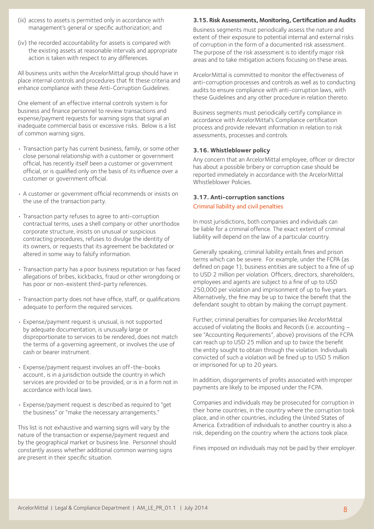- (iii) access to assets is permitted only in accordance with management's general or specific authorization; and
- (iv) the recorded accountability for assets is compared with the existing assets at reasonable intervals and appropriate action is taken with respect to any differences.

All business units within the ArcelorMittal group should have in place internal controls and procedures that fit these criteria and enhance compliance with these Anti-Corruption Guidelines.

One element of an effective internal controls system is for business and finance personnel to review transactions and expense/payment requests for warning signs that signal an inadequate commercial basis or excessive risks. Below is a list of common warning signs.

- Transaction party has current business, family, or some other close personal relationship with a customer or government official, has recently itself been a customer or government official, or is qualified only on the basis of its influence over a customer or government official.
- A customer or government official recommends or insists on the use of the transaction party.
- Transaction party refuses to agree to anti-corruption contractual terms, uses a shell company or other unorthodox corporate structure, insists on unusual or suspicious contracting procedures, refuses to divulge the identity of its owners, or requests that its agreement be backdated or altered in some way to falsify information.
- Transaction party has a poor business reputation or has faced allegations of bribes, kickbacks, fraud or other wrongdoing or has poor or non-existent third-party references.
- Transaction party does not have office, staff, or qualifications adequate to perform the required services.
- Expense/payment request is unusual, is not supported by adequate documentation, is unusually large or disproportionate to services to be rendered, does not match the terms of a governing agreement, or involves the use of cash or bearer instrument.
- Expense/payment request involves an off-the-books account, is in a jurisdiction outside the country in which services are provided or to be provided, or is in a form not in accordance with local laws.
- Expense/payment request is described as required to "get the business" or "make the necessary arrangements."

This list is not exhaustive and warning signs will vary by the nature of the transaction or expense/payment request and by the geographical market or business line. Personnel should constantly assess whether additional common warning signs are present in their specific situation.

### **3.15. Risk Assessments, Monitoring, Certification and Audits**

Business segments must periodically assess the nature and extent of their exposure to potential internal and external risks of corruption in the form of a documented risk assessment. The purpose of the risk assessment is to identify major risk areas and to take mitigation actions focusing on these areas.

ArcelorMittal is committed to monitor the effectiveness of anti-corruption processes and controls as well as to conducting audits to ensure compliance with anti-corruption laws, with these Guidelines and any other procedure in relation thereto.

Business segments must periodically certify compliance in accordance with ArcelorMittal's Compliance certification process and provide relevant information in relation to risk assessments, processes and controls.

#### **3.16. Whistleblower policy**

Any concern that an ArcelorMittal employee, officer or director has about a possible bribery or corruption case should be reported immediately in accordance with the ArcelorMittal Whistleblower Policies.

#### **3.17. Anti-corruption sanctions**

#### Criminal liability and civil penalties

In most jurisdictions, both companies and individuals can be liable for a criminal offence. The exact extent of criminal liability will depend on the law of a particular country.

Generally speaking, criminal liability entails fines and prison terms which can be severe. For example, under the FCPA (as defined on page 1), business entities are subject to a fine of up to USD 2 million per violation. Officers, directors, shareholders, employees and agents are subject to a fine of up to USD 250,000 per violation and imprisonment of up to five years. Alternatively, the fine may be up to twice the benefit that the defendant sought to obtain by making the corrupt payment.

Further, criminal penalties for companies like ArcelorMittal accused of violating the Books and Records (i.e. accounting – see "Accounting Requirements", above) provisions of the FCPA can reach up to USD 25 million and up to twice the benefit the entity sought to obtain through the violation. Individuals convicted of such a violation will be fined up to USD 5 million or imprisoned for up to 20 years.

In addition, disgorgements of profits associated with improper payments are likely to be imposed under the FCPA.

Companies and individuals may be prosecuted for corruption in their home countries, in the country where the corruption took place, and in other countries, including the United States of America. Extradition of individuals to another country is also a risk, depending on the country where the actions took place.

Fines imposed on individuals may not be paid by their employer.